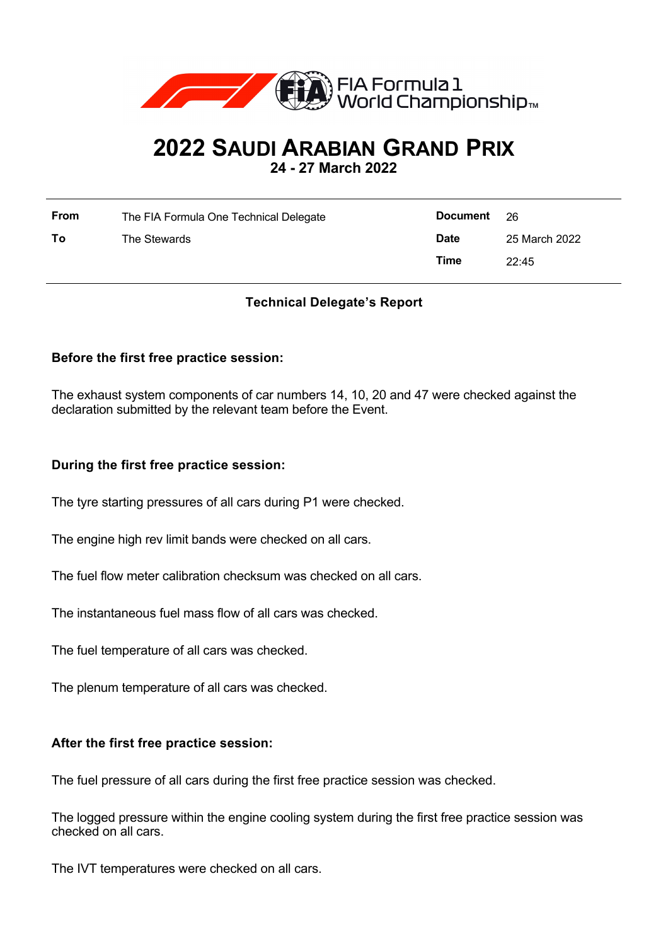

# **2022 SAUDI ARABIAN GRAND PRIX**

**24 - 27 March 2022**

| <b>From</b> | The FIA Formula One Technical Delegate | Document 26 |               |
|-------------|----------------------------------------|-------------|---------------|
| To          | The Stewards                           | <b>Date</b> | 25 March 2022 |
|             |                                        | Time        | 22:45         |

## **Technical Delegate's Report**

### **Before the first free practice session:**

The exhaust system components of car numbers 14, 10, 20 and 47 were checked against the declaration submitted by the relevant team before the Event.

#### **During the first free practice session:**

The tyre starting pressures of all cars during P1 were checked.

The engine high rev limit bands were checked on all cars.

The fuel flow meter calibration checksum was checked on all cars.

The instantaneous fuel mass flow of all cars was checked.

The fuel temperature of all cars was checked.

The plenum temperature of all cars was checked.

#### **After the first free practice session:**

The fuel pressure of all cars during the first free practice session was checked.

The logged pressure within the engine cooling system during the first free practice session was checked on all cars.

The IVT temperatures were checked on all cars.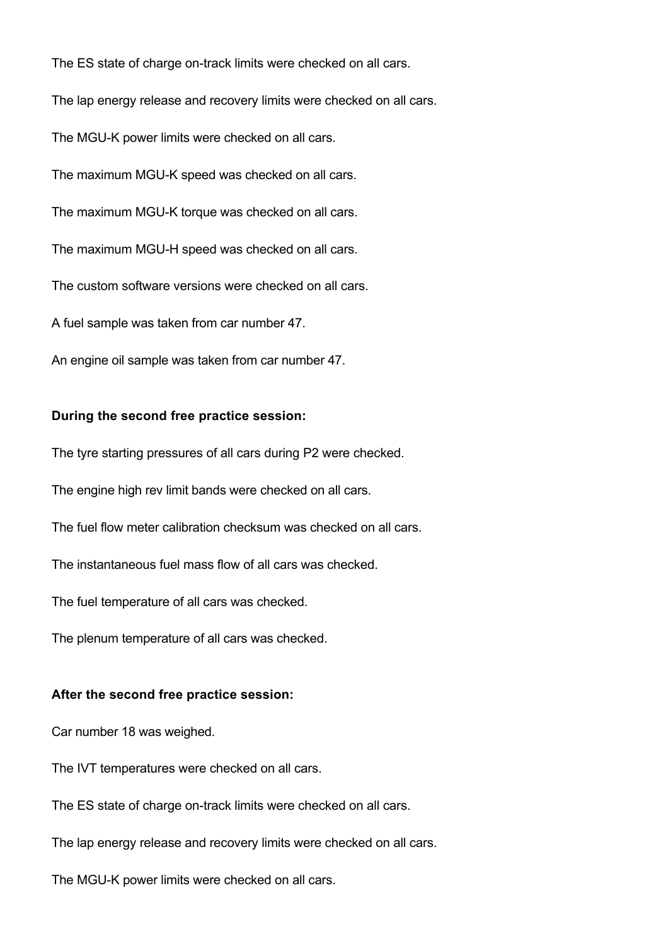The ES state of charge on-track limits were checked on all cars. The lap energy release and recovery limits were checked on all cars. The MGU-K power limits were checked on all cars. The maximum MGU-K speed was checked on all cars. The maximum MGU-K torque was checked on all cars. The maximum MGU-H speed was checked on all cars. The custom software versions were checked on all cars. A fuel sample was taken from car number 47. An engine oil sample was taken from car number 47.

### **During the second free practice session:**

The tyre starting pressures of all cars during P2 were checked.

The engine high rev limit bands were checked on all cars.

The fuel flow meter calibration checksum was checked on all cars.

The instantaneous fuel mass flow of all cars was checked.

The fuel temperature of all cars was checked.

The plenum temperature of all cars was checked.

#### **After the second free practice session:**

Car number 18 was weighed.

The IVT temperatures were checked on all cars.

The ES state of charge on-track limits were checked on all cars.

The lap energy release and recovery limits were checked on all cars.

The MGU-K power limits were checked on all cars.